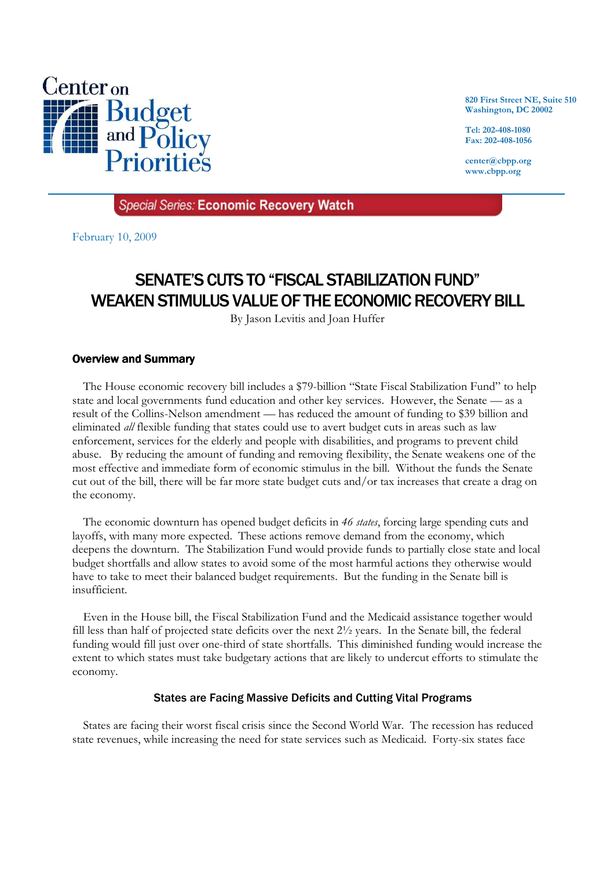

**820 First Street NE, Suite 510 Washington, DC 20002** 

**Tel: 202-408-1080 Fax: 202-408-1056** 

**center@cbpp.org www.cbpp.org** 

**Special Series: Economic Recovery Watch** 

February 10, 2009

# SENATE'S CUTS TO "FISCAL STABILIZATION FUND" WEAKEN STIMULUS VALUE OF THE ECONOMIC RECOVERY BILL

By Jason Levitis and Joan Huffer

## Overview and Summary

 The House economic recovery bill includes a \$79-billion "State Fiscal Stabilization Fund" to help state and local governments fund education and other key services. However, the Senate — as a result of the Collins-Nelson amendment — has reduced the amount of funding to \$39 billion and eliminated *all* flexible funding that states could use to avert budget cuts in areas such as law enforcement, services for the elderly and people with disabilities, and programs to prevent child abuse. By reducing the amount of funding and removing flexibility, the Senate weakens one of the most effective and immediate form of economic stimulus in the bill. Without the funds the Senate cut out of the bill, there will be far more state budget cuts and/or tax increases that create a drag on the economy.

 The economic downturn has opened budget deficits in *46 states*, forcing large spending cuts and layoffs, with many more expected. These actions remove demand from the economy, which deepens the downturn. The Stabilization Fund would provide funds to partially close state and local budget shortfalls and allow states to avoid some of the most harmful actions they otherwise would have to take to meet their balanced budget requirements. But the funding in the Senate bill is insufficient.

 Even in the House bill, the Fiscal Stabilization Fund and the Medicaid assistance together would fill less than half of projected state deficits over the next 2½ years. In the Senate bill, the federal funding would fill just over one-third of state shortfalls. This diminished funding would increase the extent to which states must take budgetary actions that are likely to undercut efforts to stimulate the economy.

#### States are Facing Massive Deficits and Cutting Vital Programs

States are facing their worst fiscal crisis since the Second World War. The recession has reduced state revenues, while increasing the need for state services such as Medicaid. Forty-six states face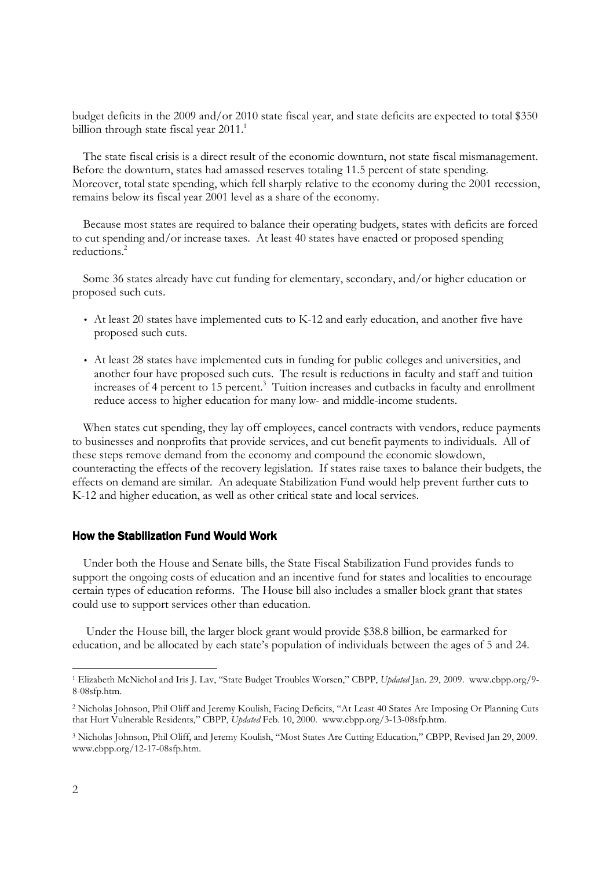budget deficits in the 2009 and/or 2010 state fiscal year, and state deficits are expected to total \$350 billion through state fiscal year  $2011.^1$ 

 The state fiscal crisis is a direct result of the economic downturn, not state fiscal mismanagement. Before the downturn, states had amassed reserves totaling 11.5 percent of state spending. Moreover, total state spending, which fell sharply relative to the economy during the 2001 recession, remains below its fiscal year 2001 level as a share of the economy.

 Because most states are required to balance their operating budgets, states with deficits are forced to cut spending and/or increase taxes. At least 40 states have enacted or proposed spending reductions.<sup>2</sup>

 Some 36 states already have cut funding for elementary, secondary, and/or higher education or proposed such cuts.

- At least 20 states have implemented cuts to K-12 and early education, and another five have proposed such cuts.
- At least 28 states have implemented cuts in funding for public colleges and universities, and another four have proposed such cuts. The result is reductions in faculty and staff and tuition increases of 4 percent to 15 percent.<sup>3</sup> Tuition increases and cutbacks in faculty and enrollment reduce access to higher education for many low- and middle-income students.

 When states cut spending, they lay off employees, cancel contracts with vendors, reduce payments to businesses and nonprofits that provide services, and cut benefit payments to individuals. All of these steps remove demand from the economy and compound the economic slowdown, counteracting the effects of the recovery legislation. If states raise taxes to balance their budgets, the effects on demand are similar. An adequate Stabilization Fund would help prevent further cuts to K-12 and higher education, as well as other critical state and local services.

#### How the Stabilization Fund Would Work

 Under both the House and Senate bills, the State Fiscal Stabilization Fund provides funds to support the ongoing costs of education and an incentive fund for states and localities to encourage certain types of education reforms. The House bill also includes a smaller block grant that states could use to support services other than education.

 Under the House bill, the larger block grant would provide \$38.8 billion, be earmarked for education, and be allocated by each state's population of individuals between the ages of 5 and 24.

-

<sup>1</sup> Elizabeth McNichol and Iris J. Lav, "State Budget Troubles Worsen," CBPP, *Updated* Jan. 29, 2009. www.cbpp.org/9- 8-08sfp.htm.

<sup>2</sup> Nicholas Johnson, Phil Oliff and Jeremy Koulish, Facing Deficits, "At Least 40 States Are Imposing Or Planning Cuts that Hurt Vulnerable Residents," CBPP, *Updated* Feb. 10, 2000. www.cbpp.org/3-13-08sfp.htm.

<sup>3</sup> Nicholas Johnson, Phil Oliff, and Jeremy Koulish, "Most States Are Cutting Education," CBPP, Revised Jan 29, 2009. www.cbpp.org/12-17-08sfp.htm.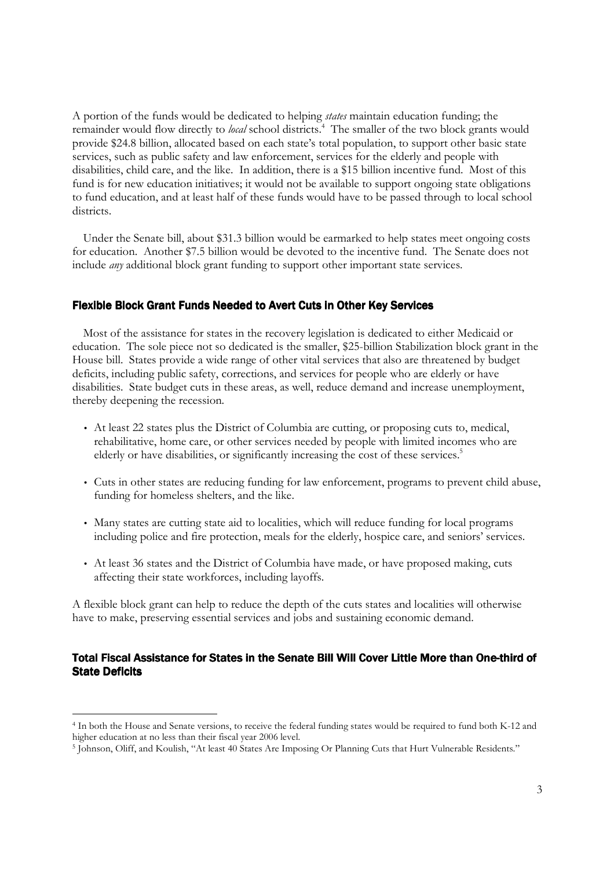A portion of the funds would be dedicated to helping *states* maintain education funding; the remainder would flow directly to local school districts.<sup>4</sup> The smaller of the two block grants would provide \$24.8 billion, allocated based on each state's total population, to support other basic state services, such as public safety and law enforcement, services for the elderly and people with disabilities, child care, and the like. In addition, there is a \$15 billion incentive fund. Most of this fund is for new education initiatives; it would not be available to support ongoing state obligations to fund education, and at least half of these funds would have to be passed through to local school districts.

 Under the Senate bill, about \$31.3 billion would be earmarked to help states meet ongoing costs for education. Another \$7.5 billion would be devoted to the incentive fund. The Senate does not include *any* additional block grant funding to support other important state services.

# Flexible Block Grant Funds Needed to Avert Cuts in Other Key Services

Most of the assistance for states in the recovery legislation is dedicated to either Medicaid or education. The sole piece not so dedicated is the smaller, \$25-billion Stabilization block grant in the House bill. States provide a wide range of other vital services that also are threatened by budget deficits, including public safety, corrections, and services for people who are elderly or have disabilities. State budget cuts in these areas, as well, reduce demand and increase unemployment, thereby deepening the recession.

- At least 22 states plus the District of Columbia are cutting, or proposing cuts to, medical, rehabilitative, home care, or other services needed by people with limited incomes who are elderly or have disabilities, or significantly increasing the cost of these services.<sup>5</sup>
- Cuts in other states are reducing funding for law enforcement, programs to prevent child abuse, funding for homeless shelters, and the like.
- Many states are cutting state aid to localities, which will reduce funding for local programs including police and fire protection, meals for the elderly, hospice care, and seniors' services.
- At least 36 states and the District of Columbia have made, or have proposed making, cuts affecting their state workforces, including layoffs.

A flexible block grant can help to reduce the depth of the cuts states and localities will otherwise have to make, preserving essential services and jobs and sustaining economic demand.

### Total Fiscal Assistance for States in the Senate Bill Will Cover Little More than One-third of State Deficits

-

<sup>4</sup> In both the House and Senate versions, to receive the federal funding states would be required to fund both K-12 and higher education at no less than their fiscal year 2006 level.

<sup>5</sup> Johnson, Oliff, and Koulish, "At least 40 States Are Imposing Or Planning Cuts that Hurt Vulnerable Residents."